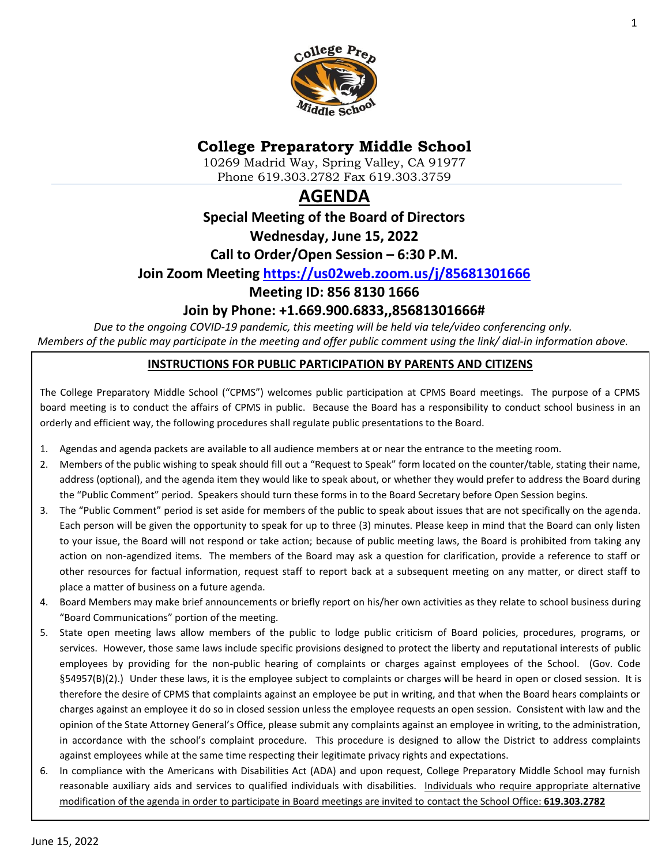

# **College Preparatory Middle School**

10269 Madrid Way, Spring Valley, CA 91977 Phone 619.303.2782 Fax 619.303.3759

# **AGENDA**

### **Special Meeting of the Board of Directors**

**Wednesday, June 15, 2022**

**Call to Order/Open Session – 6:30 P.M.**

### **Join Zoom Meeting<https://us02web.zoom.us/j/85681301666>**

**Meeting ID: 856 8130 1666**

# **Join by Phone: +1.669.900.6833,,85681301666#**

*Due to the ongoing COVID-19 pandemic, this meeting will be held via tele/video conferencing only. Members of the public may participate in the meeting and offer public comment using the link/ dial-in information above.*

#### **INSTRUCTIONS FOR PUBLIC PARTICIPATION BY PARENTS AND CITIZENS**

The College Preparatory Middle School ("CPMS") welcomes public participation at CPMS Board meetings. The purpose of a CPMS board meeting is to conduct the affairs of CPMS in public. Because the Board has a responsibility to conduct school business in an orderly and efficient way, the following procedures shall regulate public presentations to the Board.

- 1. Agendas and agenda packets are available to all audience members at or near the entrance to the meeting room.
- 2. Members of the public wishing to speak should fill out a "Request to Speak" form located on the counter/table, stating their name, address (optional), and the agenda item they would like to speak about, or whether they would prefer to address the Board during the "Public Comment" period. Speakers should turn these forms in to the Board Secretary before Open Session begins.
- 3. The "Public Comment" period is set aside for members of the public to speak about issues that are not specifically on the agenda. Each person will be given the opportunity to speak for up to three (3) minutes. Please keep in mind that the Board can only listen to your issue, the Board will not respond or take action; because of public meeting laws, the Board is prohibited from taking any action on non-agendized items. The members of the Board may ask a question for clarification, provide a reference to staff or other resources for factual information, request staff to report back at a subsequent meeting on any matter, or direct staff to place a matter of business on a future agenda.
- 4. Board Members may make brief announcements or briefly report on his/her own activities as they relate to school business during "Board Communications" portion of the meeting.
- 5. State open meeting laws allow members of the public to lodge public criticism of Board policies, procedures, programs, or services. However, those same laws include specific provisions designed to protect the liberty and reputational interests of public employees by providing for the non-public hearing of complaints or charges against employees of the School. (Gov. Code §54957(B)(2).) Under these laws, it is the employee subject to complaints or charges will be heard in open or closed session. It is therefore the desire of CPMS that complaints against an employee be put in writing, and that when the Board hears complaints or charges against an employee it do so in closed session unless the employee requests an open session. Consistent with law and the opinion of the State Attorney General's Office, please submit any complaints against an employee in writing, to the administration, in accordance with the school's complaint procedure. This procedure is designed to allow the District to address complaints against employees while at the same time respecting their legitimate privacy rights and expectations.
- 6. In compliance with the Americans with Disabilities Act (ADA) and upon request, College Preparatory Middle School may furnish reasonable auxiliary aids and services to qualified individuals with disabilities. Individuals who require appropriate alternative modification of the agenda in order to participate in Board meetings are invited to contact the School Office: **619.303.2782**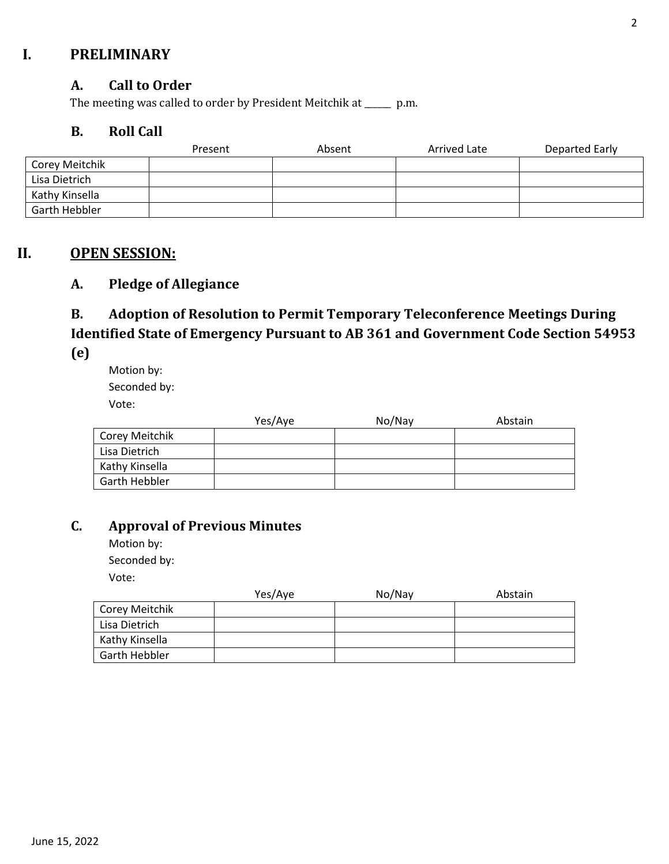# **I. PRELIMINARY**

### **A. Call to Order**

The meeting was called to order by President Meitchik at \_\_\_\_\_\_ p.m.

### **B. Roll Call**

|                | Present | Absent | Arrived Late | Departed Early |
|----------------|---------|--------|--------------|----------------|
| Corey Meitchik |         |        |              |                |
| Lisa Dietrich  |         |        |              |                |
| Kathy Kinsella |         |        |              |                |
| Garth Hebbler  |         |        |              |                |

# **II. OPEN SESSION:**

# **A. Pledge of Allegiance**

# **B. Adoption of Resolution to Permit Temporary Teleconference Meetings During Identified State of Emergency Pursuant to AB 361 and Government Code Section 54953**

**(e)**

Motion by: Seconded by: Vote:

|                | Yes/Aye | No/Nay | Abstain |
|----------------|---------|--------|---------|
| Corey Meitchik |         |        |         |
| Lisa Dietrich  |         |        |         |
| Kathy Kinsella |         |        |         |
| Garth Hebbler  |         |        |         |

# **C. Approval of Previous Minutes**

Motion by: Seconded by: Vote:

|                | Yes/Aye | No/Nay | Abstain |
|----------------|---------|--------|---------|
| Corey Meitchik |         |        |         |
| Lisa Dietrich  |         |        |         |
| Kathy Kinsella |         |        |         |
| Garth Hebbler  |         |        |         |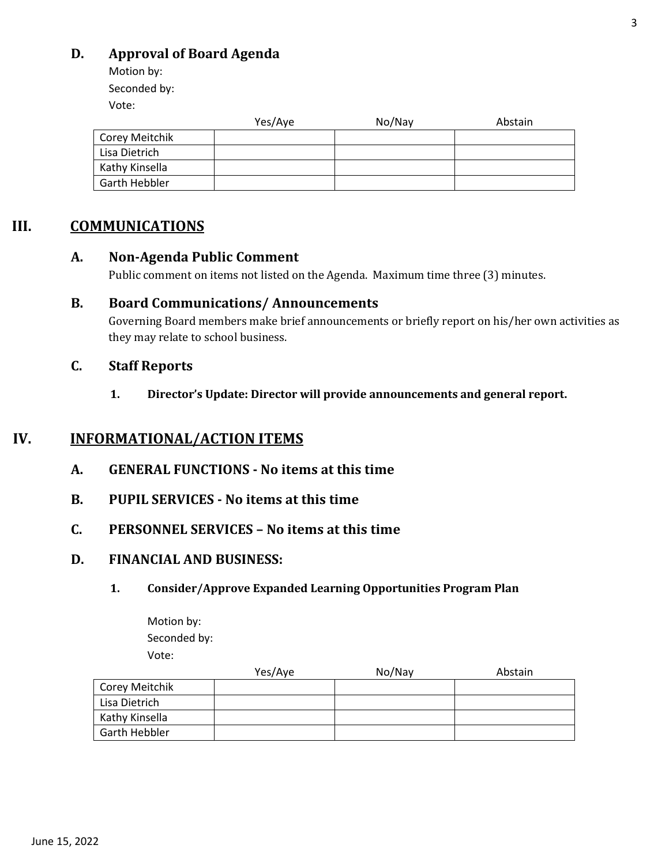# **D. Approval of Board Agenda**

Motion by: Seconded by:

Vote:

|                | Yes/Aye | No/Nay | Abstain |
|----------------|---------|--------|---------|
| Corey Meitchik |         |        |         |
| Lisa Dietrich  |         |        |         |
| Kathy Kinsella |         |        |         |
| Garth Hebbler  |         |        |         |

# **III. COMMUNICATIONS**

### **A. Non-Agenda Public Comment**

Public comment on items not listed on the Agenda. Maximum time three (3) minutes.

### **B. Board Communications/ Announcements**

Governing Board members make brief announcements or briefly report on his/her own activities as they may relate to school business.

### **C. Staff Reports**

**1. Director's Update: Director will provide announcements and general report.** 

# **IV. INFORMATIONAL/ACTION ITEMS**

- **A. GENERAL FUNCTIONS - No items at this time**
- **B. PUPIL SERVICES - No items at this time**
- **C. PERSONNEL SERVICES – No items at this time**

# **D. FINANCIAL AND BUSINESS:**

### **1. Consider/Approve Expanded Learning Opportunities Program Plan**

Motion by: Seconded by: Vote:

|                | Yes/Aye | No/Nay | Abstain |
|----------------|---------|--------|---------|
| Corey Meitchik |         |        |         |
| Lisa Dietrich  |         |        |         |
| Kathy Kinsella |         |        |         |
| Garth Hebbler  |         |        |         |